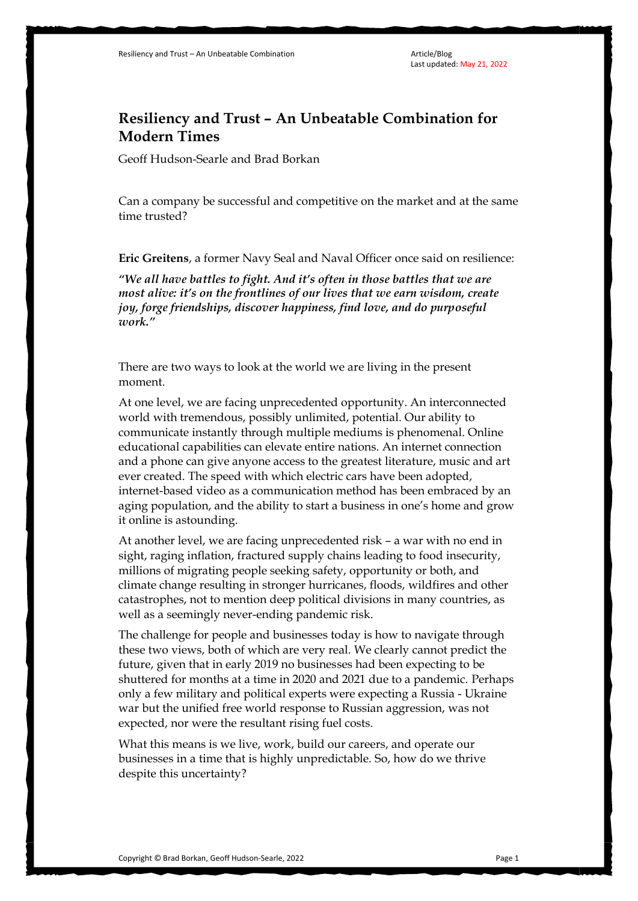## **Resiliency and Trust – An Unbeatable Combination for Modern Times**

Geoff Hudson-Searle and Brad Borkan

Can a company be successful and competitive on the market and at the same time trusted?

**Eric Greitens**, a former Navy Seal and Naval Officer once said on resilience:

*"We all have battles to fight. And it's often in those battles that we are most alive: it's on the frontlines of our lives that we earn wisdom, create joy, forge friendships, discover happiness, find love, and do purposeful work."*

There are two ways to look at the world we are living in the present moment.

At one level, we are facing unprecedented opportunity. An interconnected world with tremendous, possibly unlimited, potential. Our ability to communicate instantly through multiple mediums is phenomenal. Online educational capabilities can elevate entire nations. An internet connection and a phone can give anyone access to the greatest literature, music and art ever created. The speed with which electric cars have been adopted, internet-based video as a communication method has been embraced by an aging population, and the ability to start a business in one's home and grow it online is astounding.

At another level, we are facing unprecedented risk – a war with no end in sight, raging inflation, fractured supply chains leading to food insecurity, millions of migrating people seeking safety, opportunity or both, and climate change resulting in stronger hurricanes, floods, wildfires and other catastrophes, not to mention deep political divisions in many countries, as well as a seemingly never-ending pandemic risk.

The challenge for people and businesses today is how to navigate through these two views, both of which are very real. We clearly cannot predict the future, given that in early 2019 no businesses had been expecting to be shuttered for months at a time in 2020 and 2021 due to a pandemic. Perhaps only a few military and political experts were expecting a Russia - Ukraine war but the unified free world response to Russian aggression, was not expected, nor were the resultant rising fuel costs.

What this means is we live, work, build our careers, and operate our businesses in a time that is highly unpredictable. So, how do we thrive despite this uncertainty?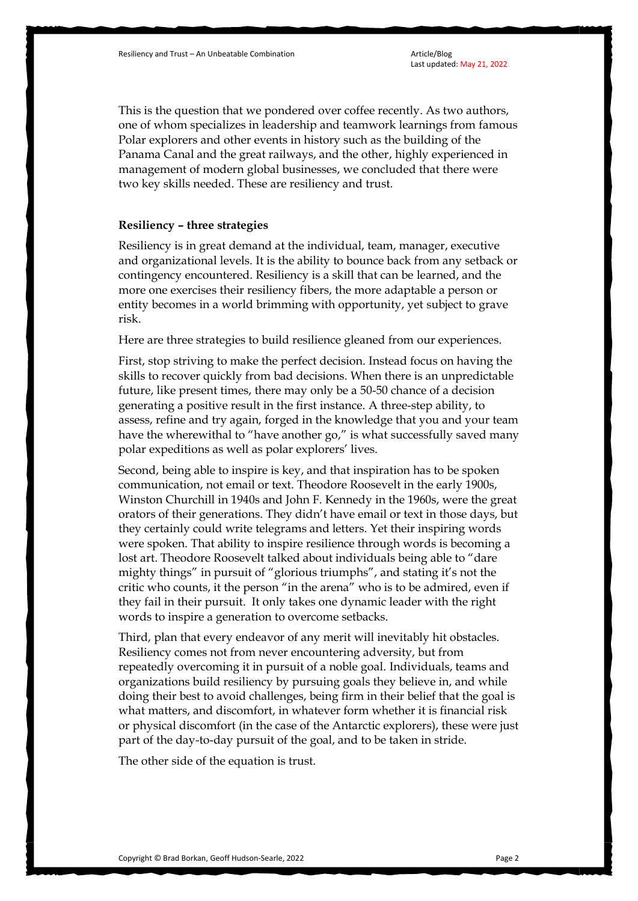This is the question that we pondered over coffee recently. As two authors, one of whom specializes in leadership and teamwork learnings from famous Polar explorers and other events in history such as the building of the Panama Canal and the great railways, and the other, highly experienced in management of modern global businesses, we concluded that there were two key skills needed. These are resiliency and trust.

## **Resiliency – three strategies**

Resiliency is in great demand at the individual, team, manager, executive and organizational levels. It is the ability to bounce back from any setback or contingency encountered. Resiliency is a skill that can be learned, and the more one exercises their resiliency fibers, the more adaptable a person or entity becomes in a world brimming with opportunity, yet subject to grave risk.

Here are three strategies to build resilience gleaned from our experiences.

First, stop striving to make the perfect decision. Instead focus on having the skills to recover quickly from bad decisions. When there is an unpredictable future, like present times, there may only be a 50-50 chance of a decision generating a positive result in the first instance. A three-step ability, to assess, refine and try again, forged in the knowledge that you and your team have the wherewithal to "have another go," is what successfully saved many polar expeditions as well as polar explorers' lives.

Second, being able to inspire is key, and that inspiration has to be spoken communication, not email or text. Theodore Roosevelt in the early 1900s, Winston Churchill in 1940s and John F. Kennedy in the 1960s, were the great orators of their generations. They didn't have email or text in those days, but they certainly could write telegrams and letters. Yet their inspiring words were spoken. That ability to inspire resilience through words is becoming a lost art. Theodore Roosevelt talked about individuals being able to "dare mighty things" in pursuit of "glorious triumphs", and stating it's not the critic who counts, it the person "in the arena" who is to be admired, even if they fail in their pursuit. It only takes one dynamic leader with the right words to inspire a generation to overcome setbacks.

Third, plan that every endeavor of any merit will inevitably hit obstacles. Resiliency comes not from never encountering adversity, but from repeatedly overcoming it in pursuit of a noble goal. Individuals, teams and organizations build resiliency by pursuing goals they believe in, and while doing their best to avoid challenges, being firm in their belief that the goal is what matters, and discomfort, in whatever form whether it is financial risk or physical discomfort (in the case of the Antarctic explorers), these were just part of the day-to-day pursuit of the goal, and to be taken in stride.

The other side of the equation is trust.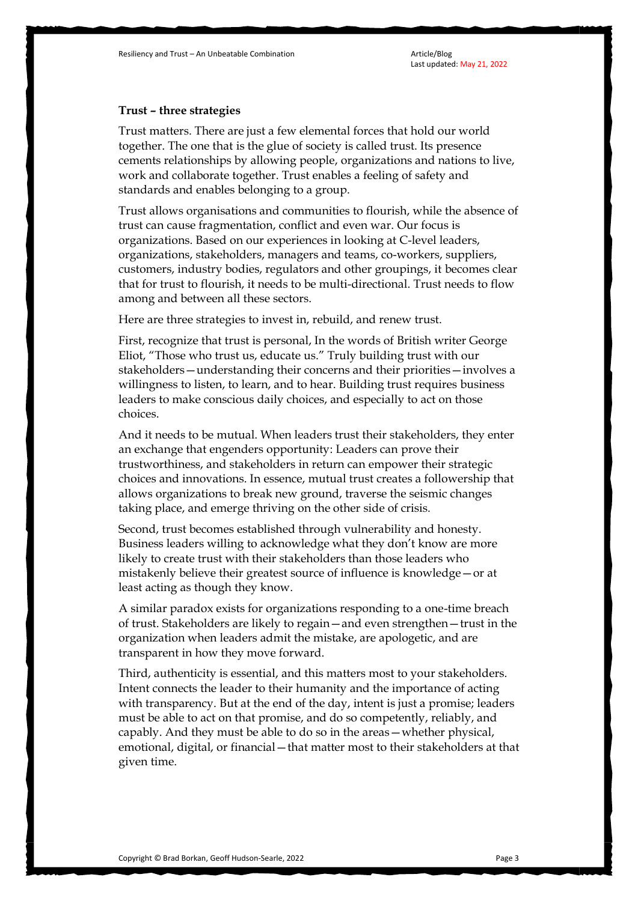Last updated: May 21, 2022

## **Trust – three strategies**

Trust matters. There are just a few elemental forces that hold our world together. The one that is the glue of society is called trust. Its presence cements relationships by allowing people, organizations and nations to live, work and collaborate together. Trust enables a feeling of safety and standards and enables belonging to a group.

Trust allows organisations and communities to flourish, while the absence of trust can cause fragmentation, conflict and even war. Our focus is organizations. Based on our experiences in looking at C-level leaders, organizations, stakeholders, managers and teams, co-workers, suppliers, customers, industry bodies, regulators and other groupings, it becomes clear that for trust to flourish, it needs to be multi-directional. Trust needs to flow among and between all these sectors.

Here are three strategies to invest in, rebuild, and renew trust.

First, recognize that trust is personal, In the words of British writer George Eliot, "Those who trust us, educate us." Truly building trust with our stakeholders—understanding their concerns and their priorities—involves a willingness to listen, to learn, and to hear. Building trust requires business leaders to make conscious daily choices, and especially to act on those choices.

And it needs to be mutual. When leaders trust their stakeholders, they enter an exchange that engenders opportunity: Leaders can prove their trustworthiness, and stakeholders in return can empower their strategic choices and innovations. In essence, mutual trust creates a followership that allows organizations to break new ground, traverse the seismic changes taking place, and emerge thriving on the other side of crisis.

Second, trust becomes established through vulnerability and honesty. Business leaders willing to acknowledge what they don't know are more likely to create trust with their stakeholders than those leaders who mistakenly believe their greatest source of influence is knowledge—or at least acting as though they know.

A similar paradox exists for organizations responding to a one-time breach of trust. Stakeholders are likely to regain—and even strengthen—trust in the organization when leaders admit the mistake, are apologetic, and are transparent in how they move forward.

Third, authenticity is essential, and this matters most to your stakeholders. Intent connects the leader to their humanity and the importance of acting with transparency. But at the end of the day, intent is just a promise; leaders must be able to act on that promise, and do so competently, reliably, and capably. And they must be able to do so in the areas—whether physical, emotional, digital, or financial—that matter most to their stakeholders at that given time.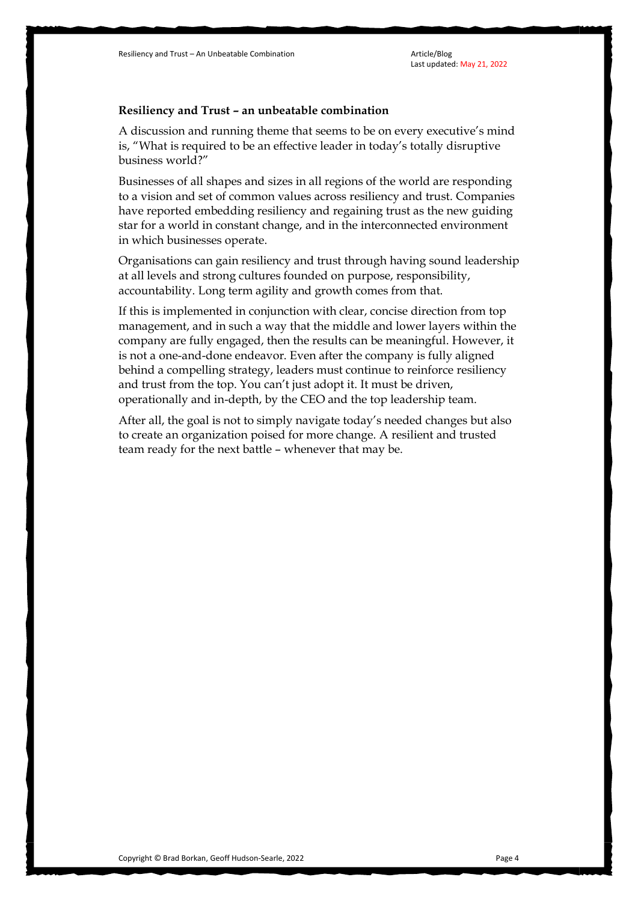## **Resiliency and Trust – an unbeatable combination**

A discussion and running theme that seems to be on every executive's mind is, "What is required to be an effective leader in today's totally disruptive business world?"

Businesses of all shapes and sizes in all regions of the world are responding to a vision and set of common values across resiliency and trust. Companies have reported embedding resiliency and regaining trust as the new guiding star for a world in constant change, and in the interconnected environment in which businesses operate.

Organisations can gain resiliency and trust through having sound leadership at all levels and strong cultures founded on purpose, responsibility, accountability. Long term agility and growth comes from that.

If this is implemented in conjunction with clear, concise direction from top management, and in such a way that the middle and lower layers within the company are fully engaged, then the results can be meaningful. However, it is not a one-and-done endeavor. Even after the company is fully aligned behind a compelling strategy, leaders must continue to reinforce resiliency and trust from the top. You can't just adopt it. It must be driven, operationally and in-depth, by the CEO and the top leadership team.

After all, the goal is not to simply navigate today's needed changes but also to create an organization poised for more change. A resilient and trusted team ready for the next battle – whenever that may be.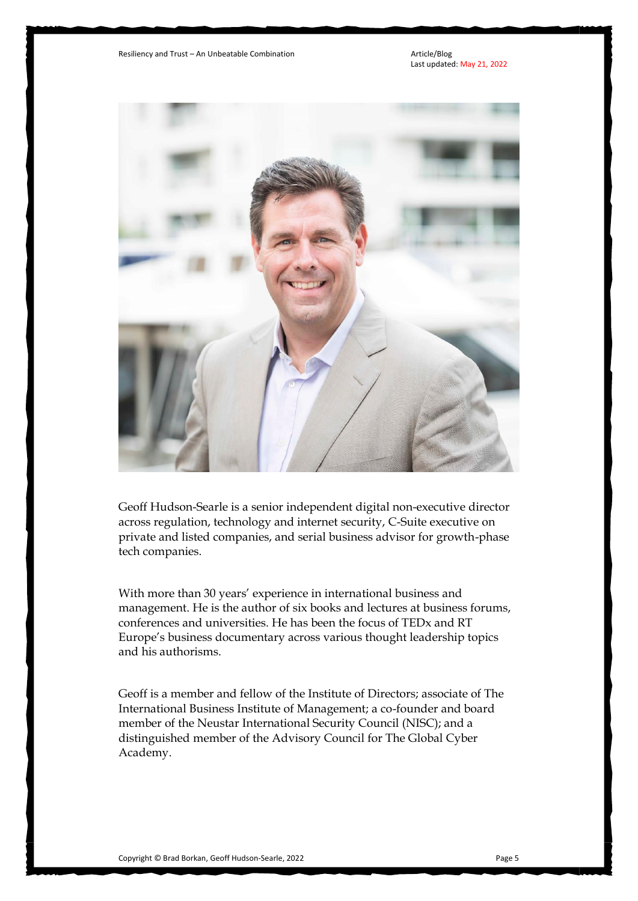

Geoff Hudson-Searle is a senior independent digital non-executive director across regulation, technology and internet security, C-Suite executive on private and listed companies, and serial business advisor for growth-phase tech companies.

With more than 30 years' experience in international business and management. He is the author of six books and lectures at business forums, conferences and universities. He has been the focus of TEDx and RT Europe's business documentary across various thought leadership topics and his authorisms.

Geoff is a member and fellow of the Institute of Directors; associate of The International Business Institute of Management; a co-founder and board member of the Neustar International Security Council (NISC); and a distinguished member of the Advisory Council for The Global Cyber Academy.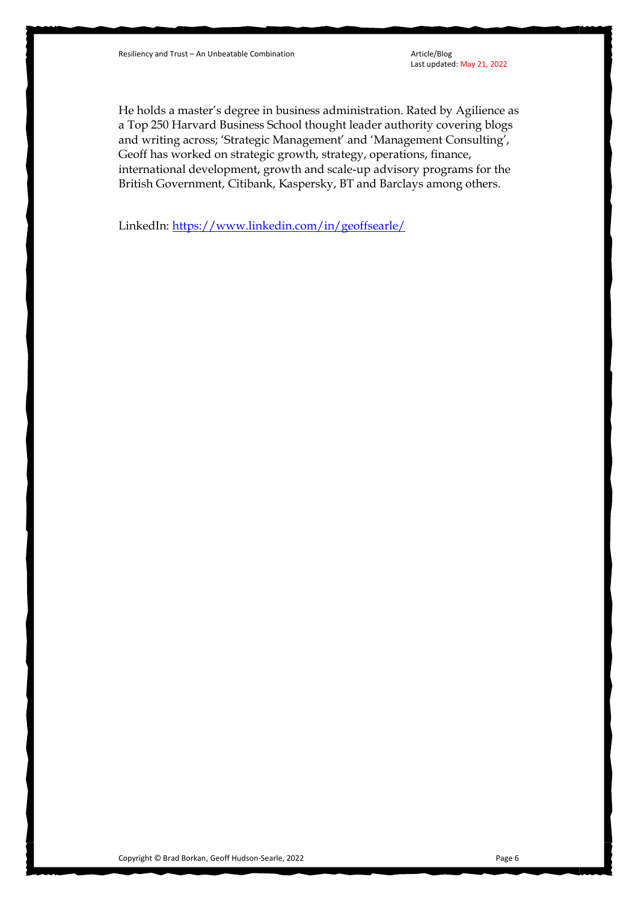He holds a master's degree in business administration. Rated by Agilience as a Top 250 Harvard Business School thought leader authority covering blogs and writing across; 'Strategic Management' and 'Management Consulting', Geoff has worked on strategic growth, strategy, operations, finance, international development, growth and scale-up advisory programs for the British Government, Citibank, Kaspersky, BT and Barclays among others.

LinkedIn:<https://www.linkedin.com/in/geoffsearle/>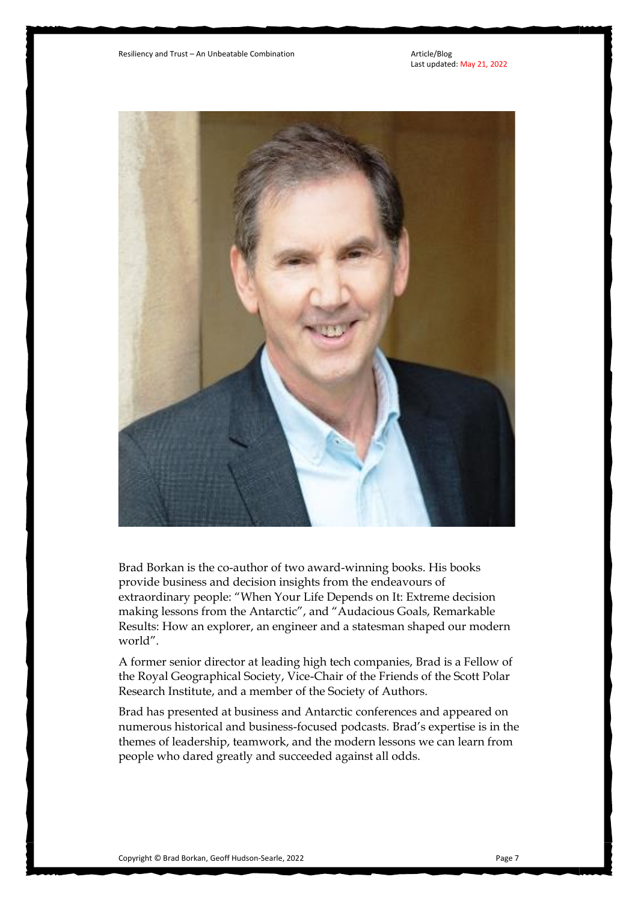

Brad Borkan is the co-author of two award-winning books. His books provide business and decision insights from the endeavours of extraordinary people: "When Your Life Depends on It: Extreme decision making lessons from the Antarctic", and "Audacious Goals, Remarkable Results: How an explorer, an engineer and a statesman shaped our modern world".

A former senior director at leading high tech companies, Brad is a Fellow of the Royal Geographical Society, Vice-Chair of the Friends of the Scott Polar Research Institute, and a member of the Society of Authors.

Brad has presented at business and Antarctic conferences and appeared on numerous historical and business-focused podcasts. Brad's expertise is in the themes of leadership, teamwork, and the modern lessons we can learn from people who dared greatly and succeeded against all odds.